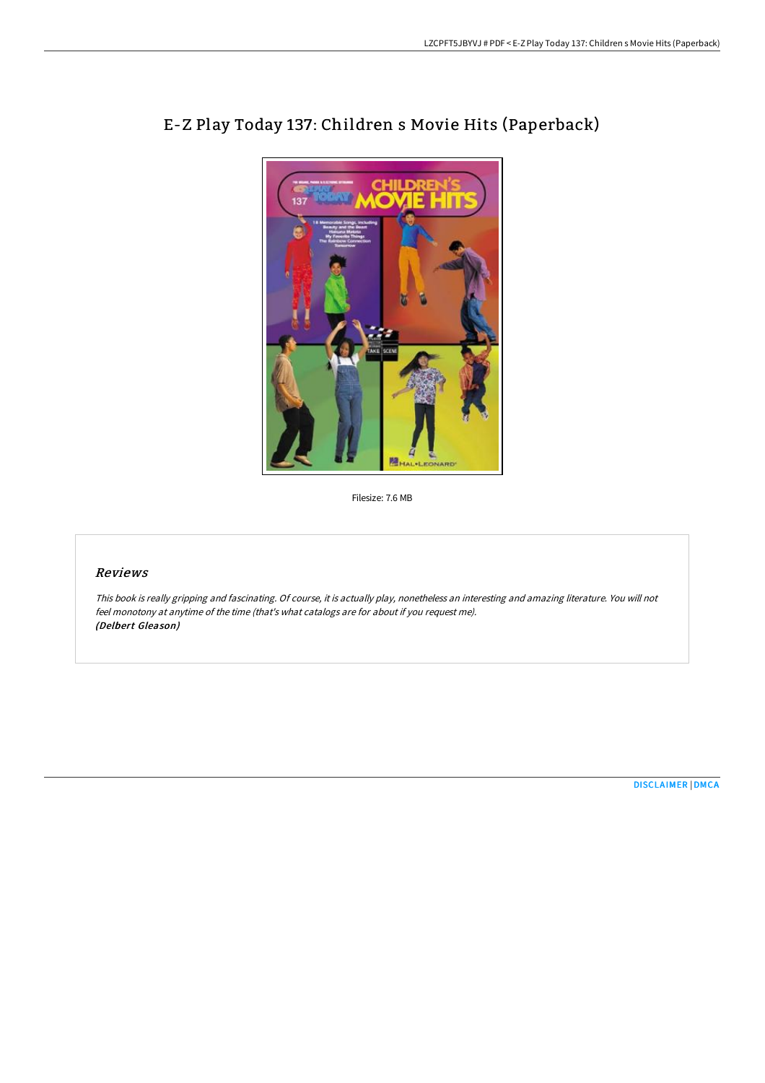

# E-Z Play Today 137: Children s Movie Hits (Paperback)

Filesize: 7.6 MB

# Reviews

This book is really gripping and fascinating. Of course, it is actually play, nonetheless an interesting and amazing literature. You will not feel monotony at anytime of the time (that's what catalogs are for about if you request me). (Delbert Gleason)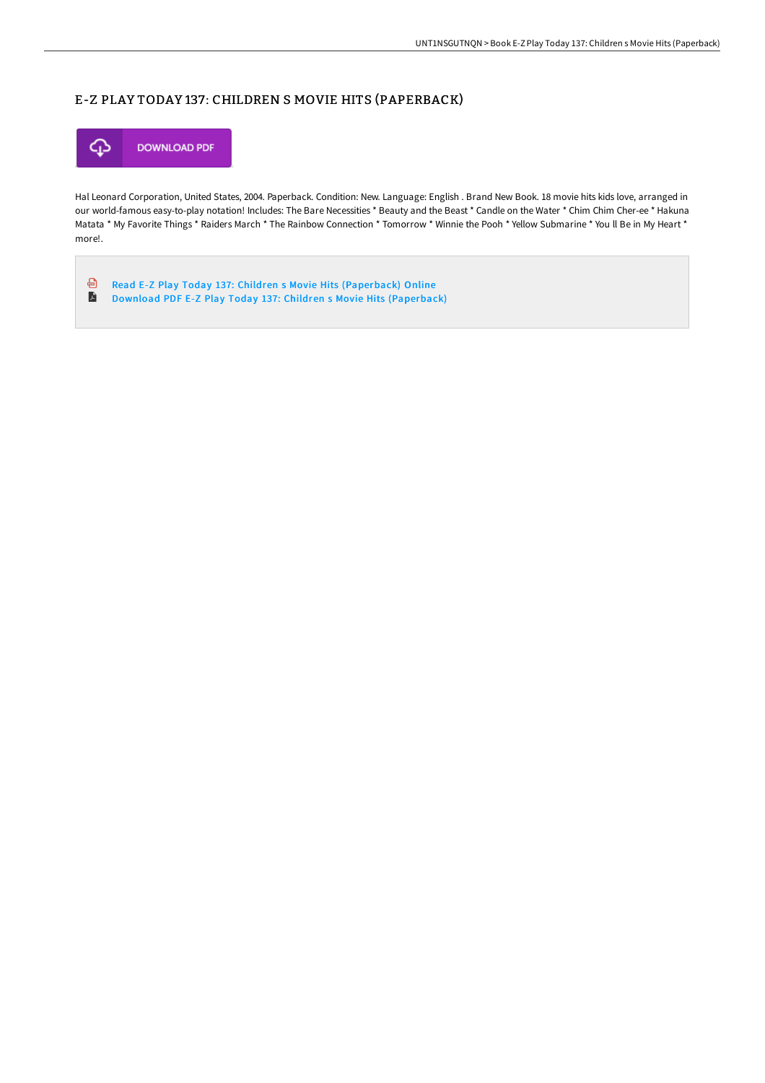## E-Z PLAY TODAY 137: CHILDREN S MOVIE HITS (PAPERBACK)



Hal Leonard Corporation, United States, 2004. Paperback. Condition: New. Language: English . Brand New Book. 18 movie hits kids love, arranged in our world-famous easy-to-play notation! Includes: The Bare Necessities \* Beauty and the Beast \* Candle on the Water \* Chim Chim Cher-ee \* Hakuna Matata \* My Favorite Things \* Raiders March \* The Rainbow Connection \* Tomorrow \* Winnie the Pooh \* Yellow Submarine \* You ll Be in My Heart \* more!.

⊕ Read E-Z Play Today 137: Children s Movie Hits [\(Paperback\)](http://techno-pub.tech/e-z-play-today-137-children-s-movie-hits-paperba.html) Online  $\blacksquare$ Download PDF E-Z Play Today 137: Children s Movie Hits [\(Paperback\)](http://techno-pub.tech/e-z-play-today-137-children-s-movie-hits-paperba.html)